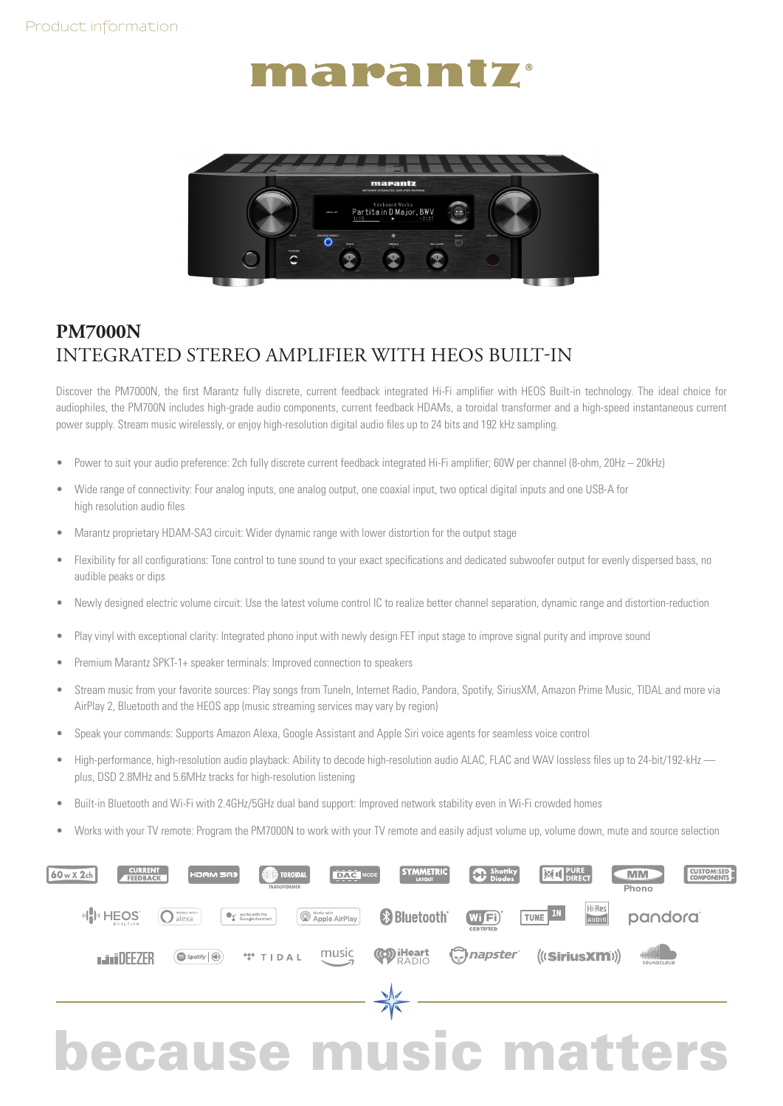## narantz



## **PM7000N**  INTEGRATED STEREO AMPLIFIER WITH HEOS BUILT-IN

Discover the PM7000N, the first Marantz fully discrete, current feedback integrated Hi-Fi amplifier with HEOS Built-in technology. The ideal choice for audiophiles, the PM700N includes high-grade audio components, current feedback HDAMs, a toroidal transformer and a high-speed instantaneous current power supply. Stream music wirelessly, or enjoy high-resolution digital audio files up to 24 bits and 192 kHz sampling.

- Power to suit your audio preference: 2ch fully discrete current feedback integrated Hi-Fi amplifier; 60W per channel (8-ohm, 20Hz 20kHz)
- Wide range of connectivity: Four analog inputs, one analog output, one coaxial input, two optical digital inputs and one USB-A for high resolution audio files
- Marantz proprietary HDAM-SA3 circuit: Wider dynamic range with lower distortion for the output stage
- Flexibility for all configurations: Tone control to tune sound to your exact specifications and dedicated subwoofer output for evenly dispersed bass, no audible peaks or dips
- Newly designed electric volume circuit: Use the latest volume control IC to realize better channel separation, dynamic range and distortion-reduction
- Play vinyl with exceptional clarity: Integrated phono input with newly design FET input stage to improve signal purity and improve sound
- Premium Marantz SPKT-1+ speaker terminals: Improved connection to speakers
- Stream music from your favorite sources: Play songs from TuneIn, Internet Radio, Pandora, Spotify, SiriusXM, Amazon Prime Music, TIDAL and more via AirPlay 2, Bluetooth and the HEOS app (music streaming services may vary by region)
- Speak your commands: Supports Amazon Alexa, Google Assistant and Apple Siri voice agents for seamless voice control
- High-performance, high-resolution audio playback: Ability to decode high-resolution audio ALAC, FLAC and WAV lossless files up to 24-bit/192-kHz plus, DSD 2.8MHz and 5.6MHz tracks for high-resolution listening
- Built-in Bluetooth and Wi-Fi with 2.4GHz/5GHz dual band support: Improved network stability even in Wi-Fi crowded homes
- Works with your TV remote: Program the PM7000N to work with your TV remote and easily adjust volume up, volume down, mute and source selection



## because music matters